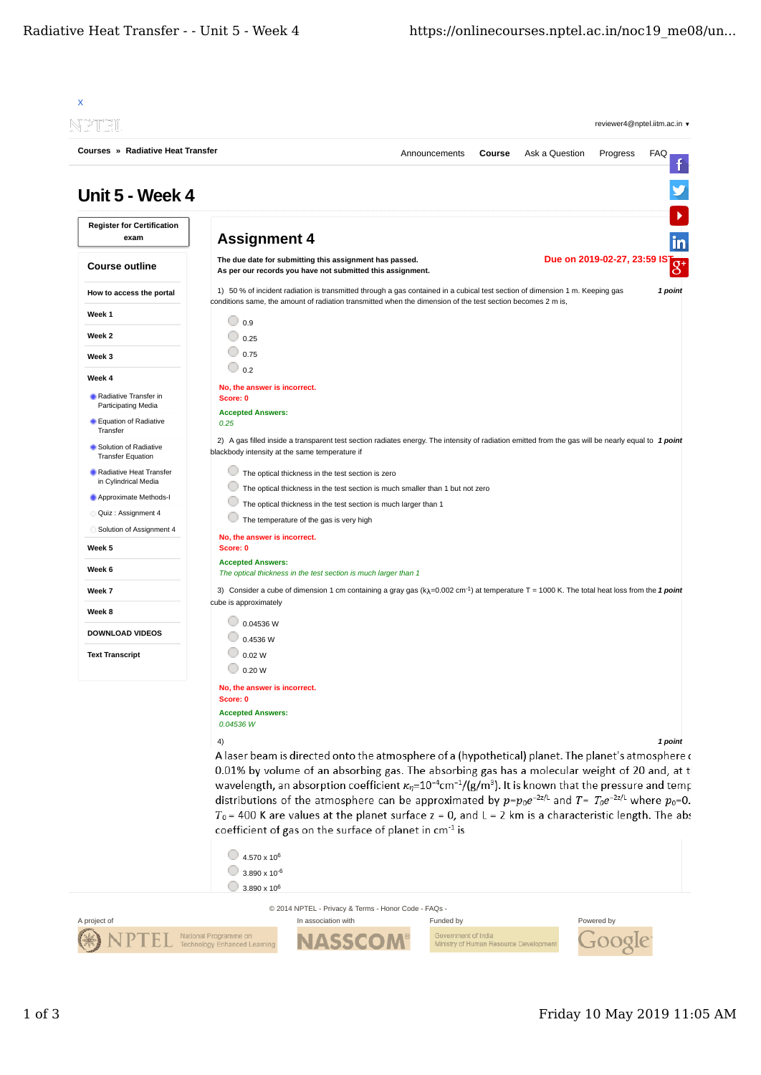| Unit 5 - Week 4<br><b>Register for Certification</b><br><b>Assignment 4</b><br>exam<br>Due on 2019-02-27, 23:59 IS<br>The due date for submitting this assignment has passed.<br><b>Course outline</b><br>As per our records you have not submitted this assignment.<br>1) 50 % of incident radiation is transmitted through a gas contained in a cubical test section of dimension 1 m. Keeping gas<br>How to access the portal<br>conditions same, the amount of radiation transmitted when the dimension of the test section becomes 2 m is,<br>Week 1<br>$\circ$ 0.9<br>Week 2<br>$\circ$ 0.25<br>$\circ$ 0.75<br>Week 3<br>$\odot$ 0.2<br>Week 4<br>No, the answer is incorrect.<br>Radiative Transfer in<br>Score: 0<br>Participating Media<br><b>Accepted Answers:</b><br>Equation of Radiative<br>0.25<br>Transfer<br>2) A gas filled inside a transparent test section radiates energy. The intensity of radiation emitted from the gas will be nearly equal to 1 point<br>Solution of Radiative<br>blackbody intensity at the same temperature if<br><b>Transfer Equation</b><br>Radiative Heat Transfer<br>The optical thickness in the test section is zero<br>in Cylindrical Media<br>The optical thickness in the test section is much smaller than 1 but not zero<br>Approximate Methods-I<br>The optical thickness in the test section is much larger than 1<br>Quiz : Assignment 4<br>The temperature of the gas is very high<br>Solution of Assignment 4<br>No, the answer is incorrect.<br>Score: 0<br>Week 5<br><b>Accepted Answers:</b><br>Week 6<br>The optical thickness in the test section is much larger than 1<br>3) Consider a cube of dimension 1 cm containing a gray gas $(kA=0.002$ cm <sup>-1</sup> ) at temperature T = 1000 K. The total heat loss from the 1 point<br>Week 7<br>cube is approximately<br>Week 8<br>0.04536 W<br><b>DOWNLOAD VIDEOS</b><br>0.4536 W<br>0.02 W<br><b>Text Transcript</b><br>$\cup$ 0.20 W<br>No, the answer is incorrect.<br>Score: 0<br><b>Accepted Answers:</b><br>0.04536 W<br>4)<br>A laser beam is directed onto the atmosphere of a (hypothetical) planet. The planet's atmosphere of<br>0.01% by volume of an absorbing gas. The absorbing gas has a molecular weight of 20 and, at t<br>wavelength, an absorption coefficient $\kappa_n = 10^{-4}$ cm <sup>-1</sup> /(g/m <sup>3</sup> ). It is known that the pressure and temp<br>distributions of the atmosphere can be approximated by $p=p_0e^{-2z/L}$ and $T=T_0e^{-2z/L}$ where $p_0=0$ .<br>$T_0$ = 400 K are values at the planet surface z = 0, and L = 2 km is a characteristic length. The abs<br>coefficient of gas on the surface of planet in cm <sup>-1</sup> is<br>$\bigcirc$ 4.570 x 10 <sup>6</sup><br>$3.890 \times 10^{-6}$ |  |                                                      | Announcements | Course | Ask a Question | Progress | <b>FAQ</b><br>f |
|----------------------------------------------------------------------------------------------------------------------------------------------------------------------------------------------------------------------------------------------------------------------------------------------------------------------------------------------------------------------------------------------------------------------------------------------------------------------------------------------------------------------------------------------------------------------------------------------------------------------------------------------------------------------------------------------------------------------------------------------------------------------------------------------------------------------------------------------------------------------------------------------------------------------------------------------------------------------------------------------------------------------------------------------------------------------------------------------------------------------------------------------------------------------------------------------------------------------------------------------------------------------------------------------------------------------------------------------------------------------------------------------------------------------------------------------------------------------------------------------------------------------------------------------------------------------------------------------------------------------------------------------------------------------------------------------------------------------------------------------------------------------------------------------------------------------------------------------------------------------------------------------------------------------------------------------------------------------------------------------------------------------------------------------------------------------------------------------------------------------------------------------------------------------------------------------------------------------------------------------------------------------------------------------------------------------------------------------------------------------------------------------------------------------------------------------------------------------------------------------------------------------------------------------------------------------------------------------------------------------------------------------------------------------------------------------------------------------------------------------------------------------------|--|------------------------------------------------------|---------------|--------|----------------|----------|-----------------|
|                                                                                                                                                                                                                                                                                                                                                                                                                                                                                                                                                                                                                                                                                                                                                                                                                                                                                                                                                                                                                                                                                                                                                                                                                                                                                                                                                                                                                                                                                                                                                                                                                                                                                                                                                                                                                                                                                                                                                                                                                                                                                                                                                                                                                                                                                                                                                                                                                                                                                                                                                                                                                                                                                                                                                                            |  |                                                      |               |        |                |          |                 |
|                                                                                                                                                                                                                                                                                                                                                                                                                                                                                                                                                                                                                                                                                                                                                                                                                                                                                                                                                                                                                                                                                                                                                                                                                                                                                                                                                                                                                                                                                                                                                                                                                                                                                                                                                                                                                                                                                                                                                                                                                                                                                                                                                                                                                                                                                                                                                                                                                                                                                                                                                                                                                                                                                                                                                                            |  |                                                      |               |        |                |          | in              |
|                                                                                                                                                                                                                                                                                                                                                                                                                                                                                                                                                                                                                                                                                                                                                                                                                                                                                                                                                                                                                                                                                                                                                                                                                                                                                                                                                                                                                                                                                                                                                                                                                                                                                                                                                                                                                                                                                                                                                                                                                                                                                                                                                                                                                                                                                                                                                                                                                                                                                                                                                                                                                                                                                                                                                                            |  |                                                      |               |        |                |          | $8^+$           |
|                                                                                                                                                                                                                                                                                                                                                                                                                                                                                                                                                                                                                                                                                                                                                                                                                                                                                                                                                                                                                                                                                                                                                                                                                                                                                                                                                                                                                                                                                                                                                                                                                                                                                                                                                                                                                                                                                                                                                                                                                                                                                                                                                                                                                                                                                                                                                                                                                                                                                                                                                                                                                                                                                                                                                                            |  |                                                      |               |        |                |          | 1 point         |
|                                                                                                                                                                                                                                                                                                                                                                                                                                                                                                                                                                                                                                                                                                                                                                                                                                                                                                                                                                                                                                                                                                                                                                                                                                                                                                                                                                                                                                                                                                                                                                                                                                                                                                                                                                                                                                                                                                                                                                                                                                                                                                                                                                                                                                                                                                                                                                                                                                                                                                                                                                                                                                                                                                                                                                            |  |                                                      |               |        |                |          |                 |
|                                                                                                                                                                                                                                                                                                                                                                                                                                                                                                                                                                                                                                                                                                                                                                                                                                                                                                                                                                                                                                                                                                                                                                                                                                                                                                                                                                                                                                                                                                                                                                                                                                                                                                                                                                                                                                                                                                                                                                                                                                                                                                                                                                                                                                                                                                                                                                                                                                                                                                                                                                                                                                                                                                                                                                            |  |                                                      |               |        |                |          |                 |
|                                                                                                                                                                                                                                                                                                                                                                                                                                                                                                                                                                                                                                                                                                                                                                                                                                                                                                                                                                                                                                                                                                                                                                                                                                                                                                                                                                                                                                                                                                                                                                                                                                                                                                                                                                                                                                                                                                                                                                                                                                                                                                                                                                                                                                                                                                                                                                                                                                                                                                                                                                                                                                                                                                                                                                            |  |                                                      |               |        |                |          |                 |
|                                                                                                                                                                                                                                                                                                                                                                                                                                                                                                                                                                                                                                                                                                                                                                                                                                                                                                                                                                                                                                                                                                                                                                                                                                                                                                                                                                                                                                                                                                                                                                                                                                                                                                                                                                                                                                                                                                                                                                                                                                                                                                                                                                                                                                                                                                                                                                                                                                                                                                                                                                                                                                                                                                                                                                            |  |                                                      |               |        |                |          |                 |
|                                                                                                                                                                                                                                                                                                                                                                                                                                                                                                                                                                                                                                                                                                                                                                                                                                                                                                                                                                                                                                                                                                                                                                                                                                                                                                                                                                                                                                                                                                                                                                                                                                                                                                                                                                                                                                                                                                                                                                                                                                                                                                                                                                                                                                                                                                                                                                                                                                                                                                                                                                                                                                                                                                                                                                            |  |                                                      |               |        |                |          |                 |
|                                                                                                                                                                                                                                                                                                                                                                                                                                                                                                                                                                                                                                                                                                                                                                                                                                                                                                                                                                                                                                                                                                                                                                                                                                                                                                                                                                                                                                                                                                                                                                                                                                                                                                                                                                                                                                                                                                                                                                                                                                                                                                                                                                                                                                                                                                                                                                                                                                                                                                                                                                                                                                                                                                                                                                            |  |                                                      |               |        |                |          |                 |
|                                                                                                                                                                                                                                                                                                                                                                                                                                                                                                                                                                                                                                                                                                                                                                                                                                                                                                                                                                                                                                                                                                                                                                                                                                                                                                                                                                                                                                                                                                                                                                                                                                                                                                                                                                                                                                                                                                                                                                                                                                                                                                                                                                                                                                                                                                                                                                                                                                                                                                                                                                                                                                                                                                                                                                            |  |                                                      |               |        |                |          |                 |
|                                                                                                                                                                                                                                                                                                                                                                                                                                                                                                                                                                                                                                                                                                                                                                                                                                                                                                                                                                                                                                                                                                                                                                                                                                                                                                                                                                                                                                                                                                                                                                                                                                                                                                                                                                                                                                                                                                                                                                                                                                                                                                                                                                                                                                                                                                                                                                                                                                                                                                                                                                                                                                                                                                                                                                            |  |                                                      |               |        |                |          |                 |
|                                                                                                                                                                                                                                                                                                                                                                                                                                                                                                                                                                                                                                                                                                                                                                                                                                                                                                                                                                                                                                                                                                                                                                                                                                                                                                                                                                                                                                                                                                                                                                                                                                                                                                                                                                                                                                                                                                                                                                                                                                                                                                                                                                                                                                                                                                                                                                                                                                                                                                                                                                                                                                                                                                                                                                            |  |                                                      |               |        |                |          |                 |
|                                                                                                                                                                                                                                                                                                                                                                                                                                                                                                                                                                                                                                                                                                                                                                                                                                                                                                                                                                                                                                                                                                                                                                                                                                                                                                                                                                                                                                                                                                                                                                                                                                                                                                                                                                                                                                                                                                                                                                                                                                                                                                                                                                                                                                                                                                                                                                                                                                                                                                                                                                                                                                                                                                                                                                            |  |                                                      |               |        |                |          |                 |
|                                                                                                                                                                                                                                                                                                                                                                                                                                                                                                                                                                                                                                                                                                                                                                                                                                                                                                                                                                                                                                                                                                                                                                                                                                                                                                                                                                                                                                                                                                                                                                                                                                                                                                                                                                                                                                                                                                                                                                                                                                                                                                                                                                                                                                                                                                                                                                                                                                                                                                                                                                                                                                                                                                                                                                            |  |                                                      |               |        |                |          |                 |
|                                                                                                                                                                                                                                                                                                                                                                                                                                                                                                                                                                                                                                                                                                                                                                                                                                                                                                                                                                                                                                                                                                                                                                                                                                                                                                                                                                                                                                                                                                                                                                                                                                                                                                                                                                                                                                                                                                                                                                                                                                                                                                                                                                                                                                                                                                                                                                                                                                                                                                                                                                                                                                                                                                                                                                            |  |                                                      |               |        |                |          |                 |
|                                                                                                                                                                                                                                                                                                                                                                                                                                                                                                                                                                                                                                                                                                                                                                                                                                                                                                                                                                                                                                                                                                                                                                                                                                                                                                                                                                                                                                                                                                                                                                                                                                                                                                                                                                                                                                                                                                                                                                                                                                                                                                                                                                                                                                                                                                                                                                                                                                                                                                                                                                                                                                                                                                                                                                            |  |                                                      |               |        |                |          |                 |
|                                                                                                                                                                                                                                                                                                                                                                                                                                                                                                                                                                                                                                                                                                                                                                                                                                                                                                                                                                                                                                                                                                                                                                                                                                                                                                                                                                                                                                                                                                                                                                                                                                                                                                                                                                                                                                                                                                                                                                                                                                                                                                                                                                                                                                                                                                                                                                                                                                                                                                                                                                                                                                                                                                                                                                            |  |                                                      |               |        |                |          |                 |
|                                                                                                                                                                                                                                                                                                                                                                                                                                                                                                                                                                                                                                                                                                                                                                                                                                                                                                                                                                                                                                                                                                                                                                                                                                                                                                                                                                                                                                                                                                                                                                                                                                                                                                                                                                                                                                                                                                                                                                                                                                                                                                                                                                                                                                                                                                                                                                                                                                                                                                                                                                                                                                                                                                                                                                            |  |                                                      |               |        |                |          |                 |
|                                                                                                                                                                                                                                                                                                                                                                                                                                                                                                                                                                                                                                                                                                                                                                                                                                                                                                                                                                                                                                                                                                                                                                                                                                                                                                                                                                                                                                                                                                                                                                                                                                                                                                                                                                                                                                                                                                                                                                                                                                                                                                                                                                                                                                                                                                                                                                                                                                                                                                                                                                                                                                                                                                                                                                            |  |                                                      |               |        |                |          |                 |
|                                                                                                                                                                                                                                                                                                                                                                                                                                                                                                                                                                                                                                                                                                                                                                                                                                                                                                                                                                                                                                                                                                                                                                                                                                                                                                                                                                                                                                                                                                                                                                                                                                                                                                                                                                                                                                                                                                                                                                                                                                                                                                                                                                                                                                                                                                                                                                                                                                                                                                                                                                                                                                                                                                                                                                            |  |                                                      |               |        |                |          |                 |
|                                                                                                                                                                                                                                                                                                                                                                                                                                                                                                                                                                                                                                                                                                                                                                                                                                                                                                                                                                                                                                                                                                                                                                                                                                                                                                                                                                                                                                                                                                                                                                                                                                                                                                                                                                                                                                                                                                                                                                                                                                                                                                                                                                                                                                                                                                                                                                                                                                                                                                                                                                                                                                                                                                                                                                            |  |                                                      |               |        |                |          |                 |
|                                                                                                                                                                                                                                                                                                                                                                                                                                                                                                                                                                                                                                                                                                                                                                                                                                                                                                                                                                                                                                                                                                                                                                                                                                                                                                                                                                                                                                                                                                                                                                                                                                                                                                                                                                                                                                                                                                                                                                                                                                                                                                                                                                                                                                                                                                                                                                                                                                                                                                                                                                                                                                                                                                                                                                            |  |                                                      |               |        |                |          |                 |
|                                                                                                                                                                                                                                                                                                                                                                                                                                                                                                                                                                                                                                                                                                                                                                                                                                                                                                                                                                                                                                                                                                                                                                                                                                                                                                                                                                                                                                                                                                                                                                                                                                                                                                                                                                                                                                                                                                                                                                                                                                                                                                                                                                                                                                                                                                                                                                                                                                                                                                                                                                                                                                                                                                                                                                            |  |                                                      |               |        |                |          |                 |
|                                                                                                                                                                                                                                                                                                                                                                                                                                                                                                                                                                                                                                                                                                                                                                                                                                                                                                                                                                                                                                                                                                                                                                                                                                                                                                                                                                                                                                                                                                                                                                                                                                                                                                                                                                                                                                                                                                                                                                                                                                                                                                                                                                                                                                                                                                                                                                                                                                                                                                                                                                                                                                                                                                                                                                            |  |                                                      |               |        |                |          |                 |
|                                                                                                                                                                                                                                                                                                                                                                                                                                                                                                                                                                                                                                                                                                                                                                                                                                                                                                                                                                                                                                                                                                                                                                                                                                                                                                                                                                                                                                                                                                                                                                                                                                                                                                                                                                                                                                                                                                                                                                                                                                                                                                                                                                                                                                                                                                                                                                                                                                                                                                                                                                                                                                                                                                                                                                            |  |                                                      |               |        |                |          | 1 point         |
|                                                                                                                                                                                                                                                                                                                                                                                                                                                                                                                                                                                                                                                                                                                                                                                                                                                                                                                                                                                                                                                                                                                                                                                                                                                                                                                                                                                                                                                                                                                                                                                                                                                                                                                                                                                                                                                                                                                                                                                                                                                                                                                                                                                                                                                                                                                                                                                                                                                                                                                                                                                                                                                                                                                                                                            |  |                                                      |               |        |                |          |                 |
|                                                                                                                                                                                                                                                                                                                                                                                                                                                                                                                                                                                                                                                                                                                                                                                                                                                                                                                                                                                                                                                                                                                                                                                                                                                                                                                                                                                                                                                                                                                                                                                                                                                                                                                                                                                                                                                                                                                                                                                                                                                                                                                                                                                                                                                                                                                                                                                                                                                                                                                                                                                                                                                                                                                                                                            |  |                                                      |               |        |                |          |                 |
|                                                                                                                                                                                                                                                                                                                                                                                                                                                                                                                                                                                                                                                                                                                                                                                                                                                                                                                                                                                                                                                                                                                                                                                                                                                                                                                                                                                                                                                                                                                                                                                                                                                                                                                                                                                                                                                                                                                                                                                                                                                                                                                                                                                                                                                                                                                                                                                                                                                                                                                                                                                                                                                                                                                                                                            |  |                                                      |               |        |                |          |                 |
|                                                                                                                                                                                                                                                                                                                                                                                                                                                                                                                                                                                                                                                                                                                                                                                                                                                                                                                                                                                                                                                                                                                                                                                                                                                                                                                                                                                                                                                                                                                                                                                                                                                                                                                                                                                                                                                                                                                                                                                                                                                                                                                                                                                                                                                                                                                                                                                                                                                                                                                                                                                                                                                                                                                                                                            |  |                                                      |               |        |                |          |                 |
|                                                                                                                                                                                                                                                                                                                                                                                                                                                                                                                                                                                                                                                                                                                                                                                                                                                                                                                                                                                                                                                                                                                                                                                                                                                                                                                                                                                                                                                                                                                                                                                                                                                                                                                                                                                                                                                                                                                                                                                                                                                                                                                                                                                                                                                                                                                                                                                                                                                                                                                                                                                                                                                                                                                                                                            |  |                                                      |               |        |                |          |                 |
|                                                                                                                                                                                                                                                                                                                                                                                                                                                                                                                                                                                                                                                                                                                                                                                                                                                                                                                                                                                                                                                                                                                                                                                                                                                                                                                                                                                                                                                                                                                                                                                                                                                                                                                                                                                                                                                                                                                                                                                                                                                                                                                                                                                                                                                                                                                                                                                                                                                                                                                                                                                                                                                                                                                                                                            |  |                                                      |               |        |                |          |                 |
|                                                                                                                                                                                                                                                                                                                                                                                                                                                                                                                                                                                                                                                                                                                                                                                                                                                                                                                                                                                                                                                                                                                                                                                                                                                                                                                                                                                                                                                                                                                                                                                                                                                                                                                                                                                                                                                                                                                                                                                                                                                                                                                                                                                                                                                                                                                                                                                                                                                                                                                                                                                                                                                                                                                                                                            |  |                                                      |               |        |                |          |                 |
| $\bigcirc$ 3.890 x 10 <sup>6</sup>                                                                                                                                                                                                                                                                                                                                                                                                                                                                                                                                                                                                                                                                                                                                                                                                                                                                                                                                                                                                                                                                                                                                                                                                                                                                                                                                                                                                                                                                                                                                                                                                                                                                                                                                                                                                                                                                                                                                                                                                                                                                                                                                                                                                                                                                                                                                                                                                                                                                                                                                                                                                                                                                                                                                         |  |                                                      |               |        |                |          |                 |
|                                                                                                                                                                                                                                                                                                                                                                                                                                                                                                                                                                                                                                                                                                                                                                                                                                                                                                                                                                                                                                                                                                                                                                                                                                                                                                                                                                                                                                                                                                                                                                                                                                                                                                                                                                                                                                                                                                                                                                                                                                                                                                                                                                                                                                                                                                                                                                                                                                                                                                                                                                                                                                                                                                                                                                            |  | © 2014 NPTEL - Privacy & Terms - Honor Code - FAQs - |               |        |                |          |                 |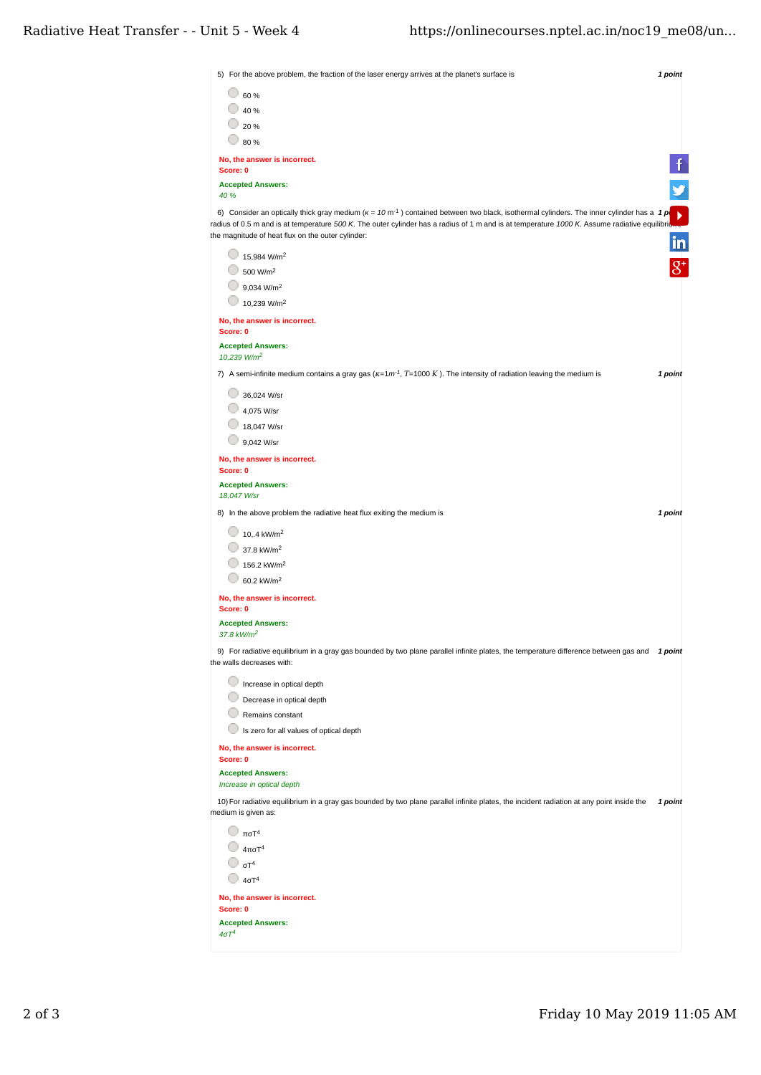| 5) For the above problem, the fraction of the laser energy arrives at the planet's surface is                                                                     | 1 point |
|-------------------------------------------------------------------------------------------------------------------------------------------------------------------|---------|
| $\circ$ 60 %                                                                                                                                                      |         |
| $\bigcirc$ 40 %                                                                                                                                                   |         |
| $\degree$ 20 %                                                                                                                                                    |         |
| $\circ$ 80 %                                                                                                                                                      |         |
| No, the answer is incorrect.<br>Score: 0                                                                                                                          |         |
| <b>Accepted Answers:</b><br>40 %                                                                                                                                  |         |
| 6) Consider an optically thick gray medium ( $\kappa = 10 \text{ m}^{-1}$ ) contained between two black, isothermal cylinders. The inner cylinder has a 1 p       |         |
| radius of 0.5 m and is at temperature 500 K. The outer cylinder has a radius of 1 m and is at temperature 1000 K. Assume radiative equilibrion                    |         |
| the magnitude of heat flux on the outer cylinder:                                                                                                                 | in      |
| $15,984$ W/m <sup>2</sup>                                                                                                                                         |         |
| $\bigcirc$ 500 W/m <sup>2</sup>                                                                                                                                   |         |
| $\bigcirc$ 9,034 W/m <sup>2</sup>                                                                                                                                 |         |
| 10,239 W/m <sup>2</sup>                                                                                                                                           |         |
| No, the answer is incorrect.<br>Score: 0                                                                                                                          |         |
| <b>Accepted Answers:</b>                                                                                                                                          |         |
| 10,239 W/m <sup>2</sup>                                                                                                                                           |         |
| 7) A semi-infinite medium contains a gray gas $(\kappa = 1m^1, T = 1000 K)$ . The intensity of radiation leaving the medium is                                    | 1 point |
| 36,024 W/sr                                                                                                                                                       |         |
| 4,075 W/sr                                                                                                                                                        |         |
| 18,047 W/sr                                                                                                                                                       |         |
| 9,042 W/sr                                                                                                                                                        |         |
| No, the answer is incorrect.                                                                                                                                      |         |
| Score: 0                                                                                                                                                          |         |
| <b>Accepted Answers:</b><br>18,047 W/sr                                                                                                                           |         |
|                                                                                                                                                                   | 1 point |
| 8) In the above problem the radiative heat flux exiting the medium is                                                                                             |         |
| $\bigcirc$ 10,.4 kW/m <sup>2</sup>                                                                                                                                |         |
| $\bigcirc$ 37.8 kW/m <sup>2</sup>                                                                                                                                 |         |
| $\bigcirc$ 156.2 kW/m <sup>2</sup>                                                                                                                                |         |
| $\bigcirc$ 60.2 kW/m <sup>2</sup>                                                                                                                                 |         |
| No, the answer is incorrect.<br>Score: 0                                                                                                                          |         |
| <b>Accepted Answers:</b>                                                                                                                                          |         |
| 37.8 kW/m <sup>2</sup>                                                                                                                                            |         |
| 9) For radiative equilibrium in a gray gas bounded by two plane parallel infinite plates, the temperature difference between gas and<br>the walls decreases with: | 1 point |
| 0<br>Increase in optical depth                                                                                                                                    |         |
| Decrease in optical depth                                                                                                                                         |         |
| Remains constant                                                                                                                                                  |         |
| Is zero for all values of optical depth                                                                                                                           |         |
| No, the answer is incorrect.                                                                                                                                      |         |
| Score: 0                                                                                                                                                          |         |
| <b>Accepted Answers:</b>                                                                                                                                          |         |
| Increase in optical depth                                                                                                                                         |         |
| 10) For radiative equilibrium in a gray gas bounded by two plane parallel infinite plates, the incident radiation at any point inside the<br>medium is given as:  | 1 point |
| $\Box$ πσΤ <sup>4</sup>                                                                                                                                           |         |
| $\Box$ 4πσΤ <sup>4</sup>                                                                                                                                          |         |
| $\bigcirc$ $\sigma T^4$                                                                                                                                           |         |
| $\Box$ 4 $\sigma$ T <sup>4</sup>                                                                                                                                  |         |
| No, the answer is incorrect.                                                                                                                                      |         |
| Score: 0                                                                                                                                                          |         |
| <b>Accepted Answers:</b>                                                                                                                                          |         |
| $4\sigma T^4$                                                                                                                                                     |         |